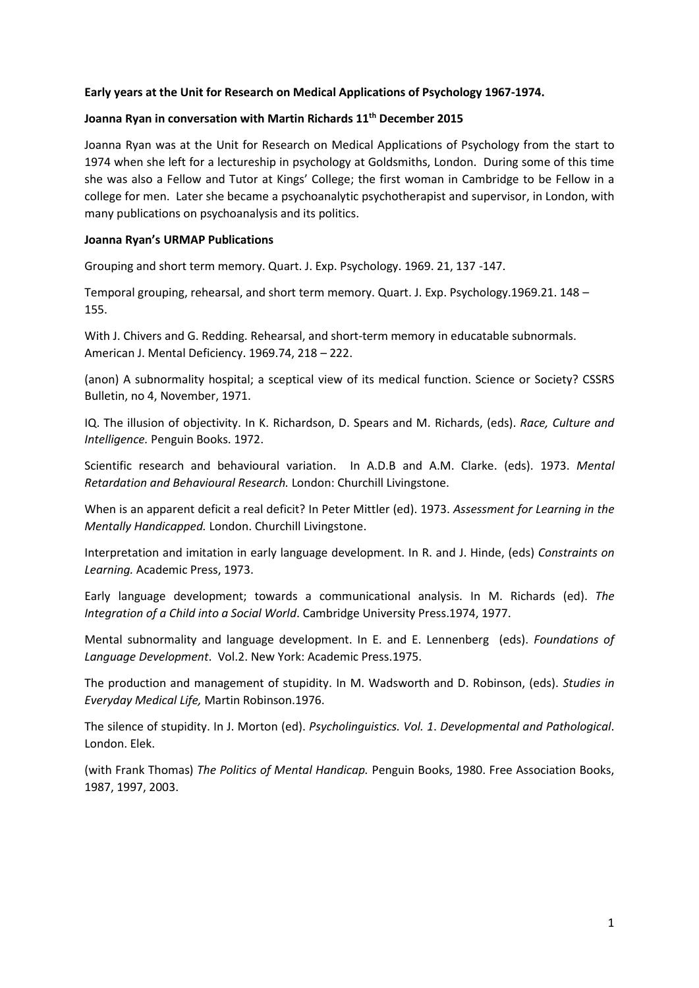# **Early years at the Unit for Research on Medical Applications of Psychology 1967-1974.**

# **Joanna Ryan in conversation with Martin Richards 11th December 2015**

Joanna Ryan was at the Unit for Research on Medical Applications of Psychology from the start to 1974 when she left for a lectureship in psychology at Goldsmiths, London. During some of this time she was also a Fellow and Tutor at Kings' College; the first woman in Cambridge to be Fellow in a college for men. Later she became a psychoanalytic psychotherapist and supervisor, in London, with many publications on psychoanalysis and its politics.

#### **Joanna Ryan's URMAP Publications**

Grouping and short term memory. Quart. J. Exp. Psychology. 1969. 21, 137 -147.

Temporal grouping, rehearsal, and short term memory. Quart. J. Exp. Psychology.1969.21. 148 – 155.

With J. Chivers and G. Redding. Rehearsal, and short-term memory in educatable subnormals. American J. Mental Deficiency. 1969.74, 218 – 222.

(anon) A subnormality hospital; a sceptical view of its medical function. Science or Society? CSSRS Bulletin, no 4, November, 1971.

IQ. The illusion of objectivity. In K. Richardson, D. Spears and M. Richards, (eds). *Race, Culture and Intelligence.* Penguin Books. 1972.

Scientific research and behavioural variation. In A.D.B and A.M. Clarke. (eds). 1973. *Mental Retardation and Behavioural Research.* London: Churchill Livingstone.

When is an apparent deficit a real deficit? In Peter Mittler (ed). 1973. *Assessment for Learning in the Mentally Handicapped.* London. Churchill Livingstone.

Interpretation and imitation in early language development. In R. and J. Hinde, (eds) *Constraints on Learning.* Academic Press, 1973.

Early language development; towards a communicational analysis. In M. Richards (ed). *The Integration of a Child into a Social World*. Cambridge University Press.1974, 1977.

Mental subnormality and language development. In E. and E. Lennenberg (eds). *Foundations of Language Development*. Vol.2. New York: Academic Press.1975.

The production and management of stupidity. In M. Wadsworth and D. Robinson, (eds). *Studies in Everyday Medical Life,* Martin Robinson.1976.

The silence of stupidity. In J. Morton (ed). *Psycholinguistics. Vol. 1*. *Developmental and Pathological*. London. Elek.

(with Frank Thomas) *The Politics of Mental Handicap.* Penguin Books, 1980. Free Association Books, 1987, 1997, 2003.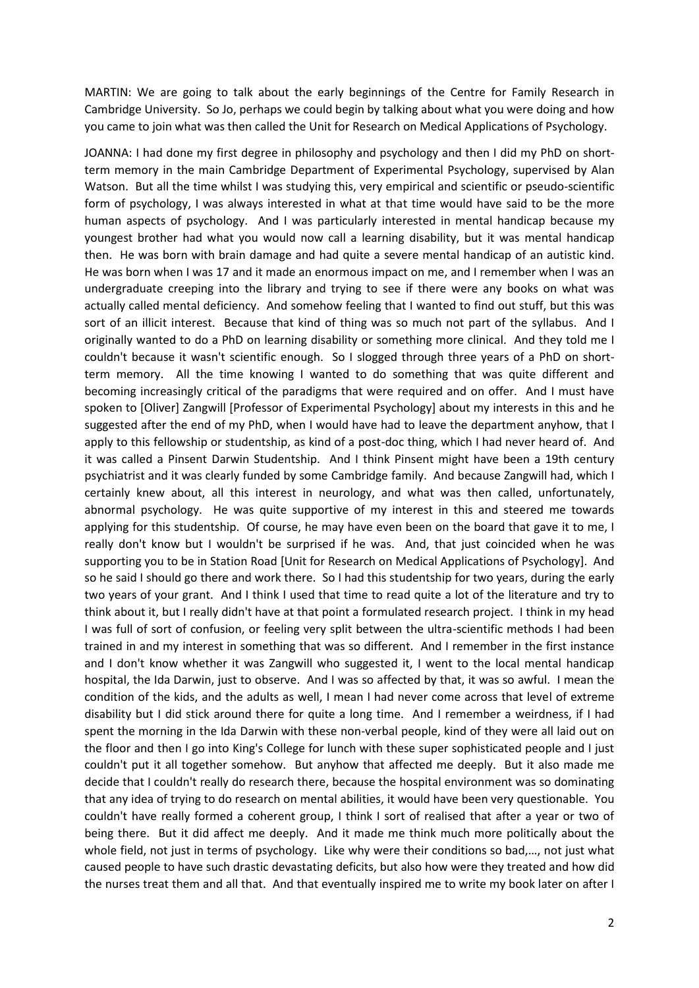MARTIN: We are going to talk about the early beginnings of the Centre for Family Research in Cambridge University. So Jo, perhaps we could begin by talking about what you were doing and how you came to join what was then called the Unit for Research on Medical Applications of Psychology.

JOANNA: I had done my first degree in philosophy and psychology and then I did my PhD on shortterm memory in the main Cambridge Department of Experimental Psychology, supervised by Alan Watson. But all the time whilst I was studying this, very empirical and scientific or pseudo-scientific form of psychology, I was always interested in what at that time would have said to be the more human aspects of psychology. And I was particularly interested in mental handicap because my youngest brother had what you would now call a learning disability, but it was mental handicap then. He was born with brain damage and had quite a severe mental handicap of an autistic kind. He was born when I was 17 and it made an enormous impact on me, and I remember when I was an undergraduate creeping into the library and trying to see if there were any books on what was actually called mental deficiency. And somehow feeling that I wanted to find out stuff, but this was sort of an illicit interest. Because that kind of thing was so much not part of the syllabus. And I originally wanted to do a PhD on learning disability or something more clinical. And they told me I couldn't because it wasn't scientific enough. So I slogged through three years of a PhD on shortterm memory. All the time knowing I wanted to do something that was quite different and becoming increasingly critical of the paradigms that were required and on offer. And I must have spoken to [Oliver] Zangwill [Professor of Experimental Psychology] about my interests in this and he suggested after the end of my PhD, when I would have had to leave the department anyhow, that I apply to this fellowship or studentship, as kind of a post-doc thing, which I had never heard of. And it was called a Pinsent Darwin Studentship. And I think Pinsent might have been a 19th century psychiatrist and it was clearly funded by some Cambridge family. And because Zangwill had, which I certainly knew about, all this interest in neurology, and what was then called, unfortunately, abnormal psychology. He was quite supportive of my interest in this and steered me towards applying for this studentship. Of course, he may have even been on the board that gave it to me, I really don't know but I wouldn't be surprised if he was. And, that just coincided when he was supporting you to be in Station Road [Unit for Research on Medical Applications of Psychology]. And so he said I should go there and work there. So I had this studentship for two years, during the early two years of your grant. And I think I used that time to read quite a lot of the literature and try to think about it, but I really didn't have at that point a formulated research project. I think in my head I was full of sort of confusion, or feeling very split between the ultra-scientific methods I had been trained in and my interest in something that was so different. And I remember in the first instance and I don't know whether it was Zangwill who suggested it, I went to the local mental handicap hospital, the Ida Darwin, just to observe. And I was so affected by that, it was so awful. I mean the condition of the kids, and the adults as well, I mean I had never come across that level of extreme disability but I did stick around there for quite a long time. And I remember a weirdness, if I had spent the morning in the Ida Darwin with these non-verbal people, kind of they were all laid out on the floor and then I go into King's College for lunch with these super sophisticated people and I just couldn't put it all together somehow. But anyhow that affected me deeply. But it also made me decide that I couldn't really do research there, because the hospital environment was so dominating that any idea of trying to do research on mental abilities, it would have been very questionable. You couldn't have really formed a coherent group, I think I sort of realised that after a year or two of being there. But it did affect me deeply. And it made me think much more politically about the whole field, not just in terms of psychology. Like why were their conditions so bad,…, not just what caused people to have such drastic devastating deficits, but also how were they treated and how did the nurses treat them and all that. And that eventually inspired me to write my book later on after I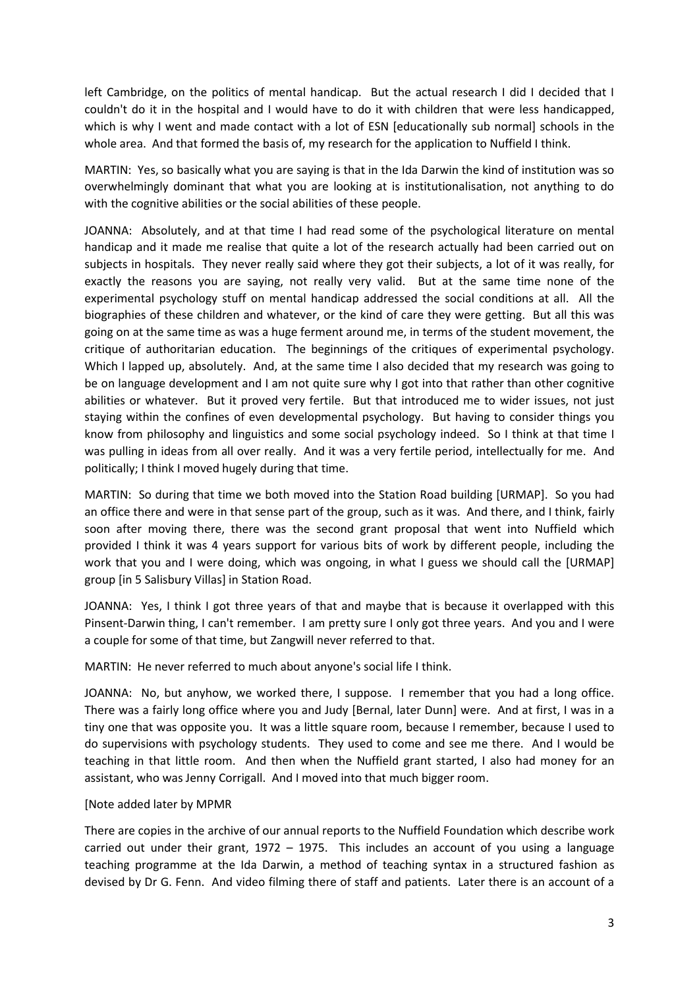left Cambridge, on the politics of mental handicap. But the actual research I did I decided that I couldn't do it in the hospital and I would have to do it with children that were less handicapped, which is why I went and made contact with a lot of ESN [educationally sub normal] schools in the whole area. And that formed the basis of, my research for the application to Nuffield I think.

MARTIN: Yes, so basically what you are saying is that in the Ida Darwin the kind of institution was so overwhelmingly dominant that what you are looking at is institutionalisation, not anything to do with the cognitive abilities or the social abilities of these people.

JOANNA: Absolutely, and at that time I had read some of the psychological literature on mental handicap and it made me realise that quite a lot of the research actually had been carried out on subjects in hospitals. They never really said where they got their subjects, a lot of it was really, for exactly the reasons you are saying, not really very valid. But at the same time none of the experimental psychology stuff on mental handicap addressed the social conditions at all. All the biographies of these children and whatever, or the kind of care they were getting. But all this was going on at the same time as was a huge ferment around me, in terms of the student movement, the critique of authoritarian education. The beginnings of the critiques of experimental psychology. Which I lapped up, absolutely. And, at the same time I also decided that my research was going to be on language development and I am not quite sure why I got into that rather than other cognitive abilities or whatever. But it proved very fertile. But that introduced me to wider issues, not just staying within the confines of even developmental psychology. But having to consider things you know from philosophy and linguistics and some social psychology indeed. So I think at that time I was pulling in ideas from all over really. And it was a very fertile period, intellectually for me. And politically; I think I moved hugely during that time.

MARTIN: So during that time we both moved into the Station Road building [URMAP]. So you had an office there and were in that sense part of the group, such as it was. And there, and I think, fairly soon after moving there, there was the second grant proposal that went into Nuffield which provided I think it was 4 years support for various bits of work by different people, including the work that you and I were doing, which was ongoing, in what I guess we should call the [URMAP] group [in 5 Salisbury Villas] in Station Road.

JOANNA: Yes, I think I got three years of that and maybe that is because it overlapped with this Pinsent-Darwin thing, I can't remember. I am pretty sure I only got three years. And you and I were a couple for some of that time, but Zangwill never referred to that.

MARTIN: He never referred to much about anyone's social life I think.

JOANNA: No, but anyhow, we worked there, I suppose. I remember that you had a long office. There was a fairly long office where you and Judy [Bernal, later Dunn] were. And at first, I was in a tiny one that was opposite you. It was a little square room, because I remember, because I used to do supervisions with psychology students. They used to come and see me there. And I would be teaching in that little room. And then when the Nuffield grant started, I also had money for an assistant, who was Jenny Corrigall. And I moved into that much bigger room.

# [Note added later by MPMR

There are copies in the archive of our annual reports to the Nuffield Foundation which describe work carried out under their grant, 1972 – 1975. This includes an account of you using a language teaching programme at the Ida Darwin, a method of teaching syntax in a structured fashion as devised by Dr G. Fenn. And video filming there of staff and patients. Later there is an account of a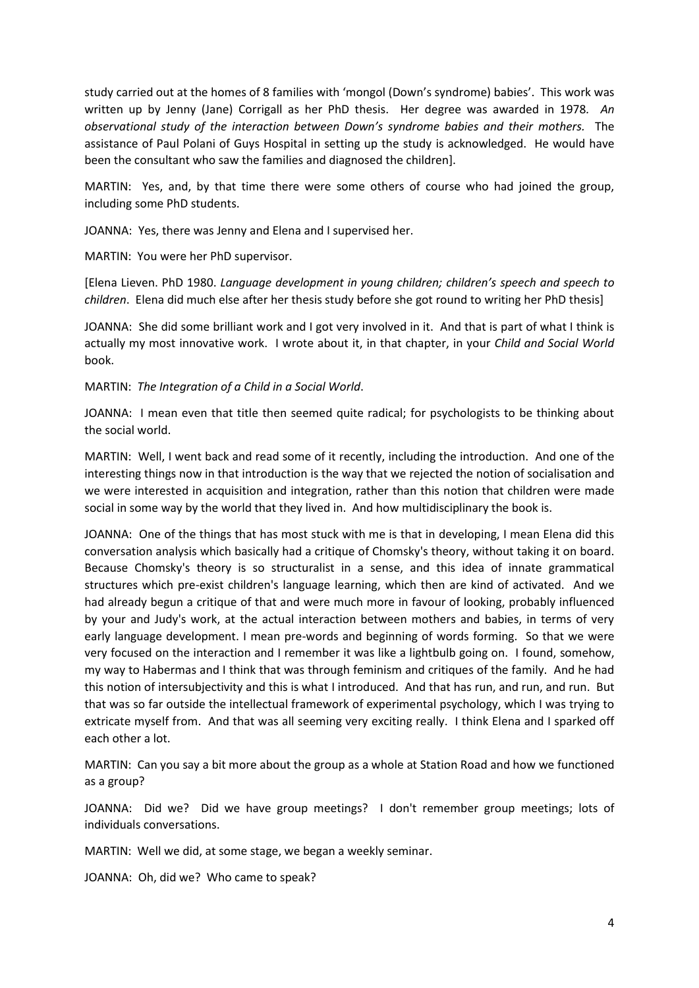study carried out at the homes of 8 families with 'mongol (Down's syndrome) babies'. This work was written up by Jenny (Jane) Corrigall as her PhD thesis. Her degree was awarded in 1978*. An observational study of the interaction between Down's syndrome babies and their mothers.* The assistance of Paul Polani of Guys Hospital in setting up the study is acknowledged. He would have been the consultant who saw the families and diagnosed the children].

MARTIN: Yes, and, by that time there were some others of course who had joined the group, including some PhD students.

JOANNA: Yes, there was Jenny and Elena and I supervised her.

MARTIN: You were her PhD supervisor.

[Elena Lieven. PhD 1980. *Language development in young children; children's speech and speech to children*. Elena did much else after her thesis study before she got round to writing her PhD thesis]

JOANNA: She did some brilliant work and I got very involved in it. And that is part of what I think is actually my most innovative work. I wrote about it, in that chapter, in your *Child and Social World* book.

MARTIN: *The Integration of a Child in a Social World*.

JOANNA: I mean even that title then seemed quite radical; for psychologists to be thinking about the social world.

MARTIN: Well, I went back and read some of it recently, including the introduction. And one of the interesting things now in that introduction is the way that we rejected the notion of socialisation and we were interested in acquisition and integration, rather than this notion that children were made social in some way by the world that they lived in. And how multidisciplinary the book is.

JOANNA: One of the things that has most stuck with me is that in developing, I mean Elena did this conversation analysis which basically had a critique of Chomsky's theory, without taking it on board. Because Chomsky's theory is so structuralist in a sense, and this idea of innate grammatical structures which pre-exist children's language learning, which then are kind of activated. And we had already begun a critique of that and were much more in favour of looking, probably influenced by your and Judy's work, at the actual interaction between mothers and babies, in terms of very early language development. I mean pre-words and beginning of words forming. So that we were very focused on the interaction and I remember it was like a lightbulb going on. I found, somehow, my way to Habermas and I think that was through feminism and critiques of the family. And he had this notion of intersubjectivity and this is what I introduced. And that has run, and run, and run. But that was so far outside the intellectual framework of experimental psychology, which I was trying to extricate myself from. And that was all seeming very exciting really. I think Elena and I sparked off each other a lot.

MARTIN: Can you say a bit more about the group as a whole at Station Road and how we functioned as a group?

JOANNA: Did we? Did we have group meetings? I don't remember group meetings; lots of individuals conversations.

MARTIN: Well we did, at some stage, we began a weekly seminar.

JOANNA: Oh, did we? Who came to speak?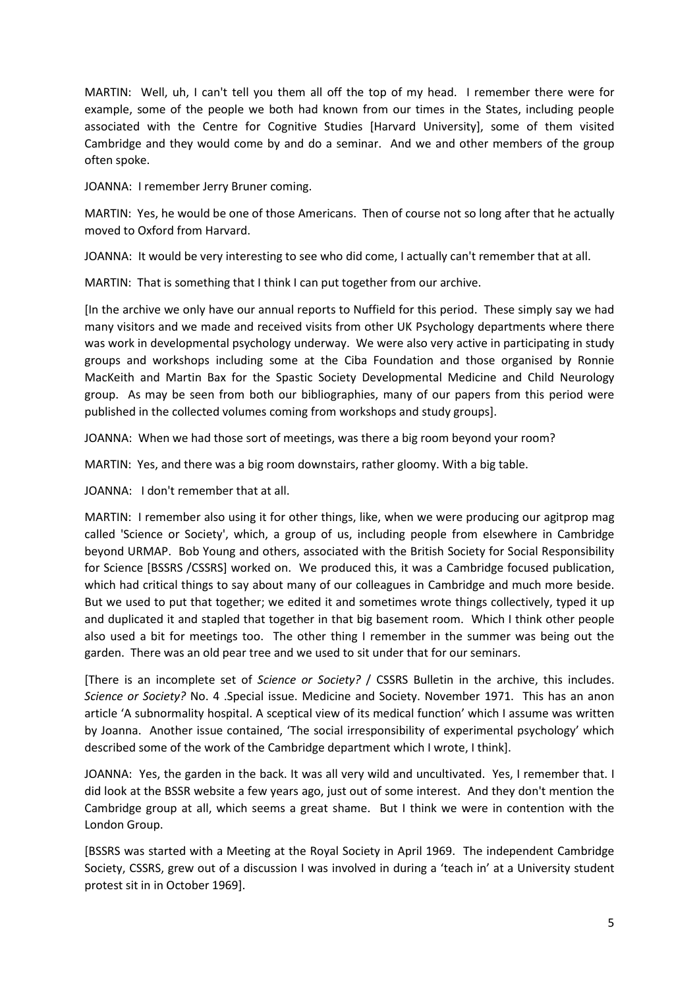MARTIN: Well, uh, I can't tell you them all off the top of my head. I remember there were for example, some of the people we both had known from our times in the States, including people associated with the Centre for Cognitive Studies [Harvard University], some of them visited Cambridge and they would come by and do a seminar. And we and other members of the group often spoke.

JOANNA: I remember Jerry Bruner coming.

MARTIN: Yes, he would be one of those Americans. Then of course not so long after that he actually moved to Oxford from Harvard.

JOANNA: It would be very interesting to see who did come, I actually can't remember that at all.

MARTIN: That is something that I think I can put together from our archive.

[In the archive we only have our annual reports to Nuffield for this period. These simply say we had many visitors and we made and received visits from other UK Psychology departments where there was work in developmental psychology underway. We were also very active in participating in study groups and workshops including some at the Ciba Foundation and those organised by Ronnie MacKeith and Martin Bax for the Spastic Society Developmental Medicine and Child Neurology group. As may be seen from both our bibliographies, many of our papers from this period were published in the collected volumes coming from workshops and study groups].

JOANNA: When we had those sort of meetings, was there a big room beyond your room?

MARTIN: Yes, and there was a big room downstairs, rather gloomy. With a big table.

JOANNA: I don't remember that at all.

MARTIN: I remember also using it for other things, like, when we were producing our agitprop mag called 'Science or Society', which, a group of us, including people from elsewhere in Cambridge beyond URMAP. Bob Young and others, associated with the British Society for Social Responsibility for Science [BSSRS /CSSRS] worked on. We produced this, it was a Cambridge focused publication, which had critical things to say about many of our colleagues in Cambridge and much more beside. But we used to put that together; we edited it and sometimes wrote things collectively, typed it up and duplicated it and stapled that together in that big basement room. Which I think other people also used a bit for meetings too. The other thing I remember in the summer was being out the garden. There was an old pear tree and we used to sit under that for our seminars.

[There is an incomplete set of *Science or Society?* / CSSRS Bulletin in the archive, this includes. *Science or Society?* No. 4 .Special issue. Medicine and Society. November 1971. This has an anon article 'A subnormality hospital. A sceptical view of its medical function' which I assume was written by Joanna. Another issue contained, 'The social irresponsibility of experimental psychology' which described some of the work of the Cambridge department which I wrote, I think].

JOANNA: Yes, the garden in the back. It was all very wild and uncultivated. Yes, I remember that. I did look at the BSSR website a few years ago, just out of some interest. And they don't mention the Cambridge group at all, which seems a great shame. But I think we were in contention with the London Group.

[BSSRS was started with a Meeting at the Royal Society in April 1969. The independent Cambridge Society, CSSRS, grew out of a discussion I was involved in during a 'teach in' at a University student protest sit in in October 1969].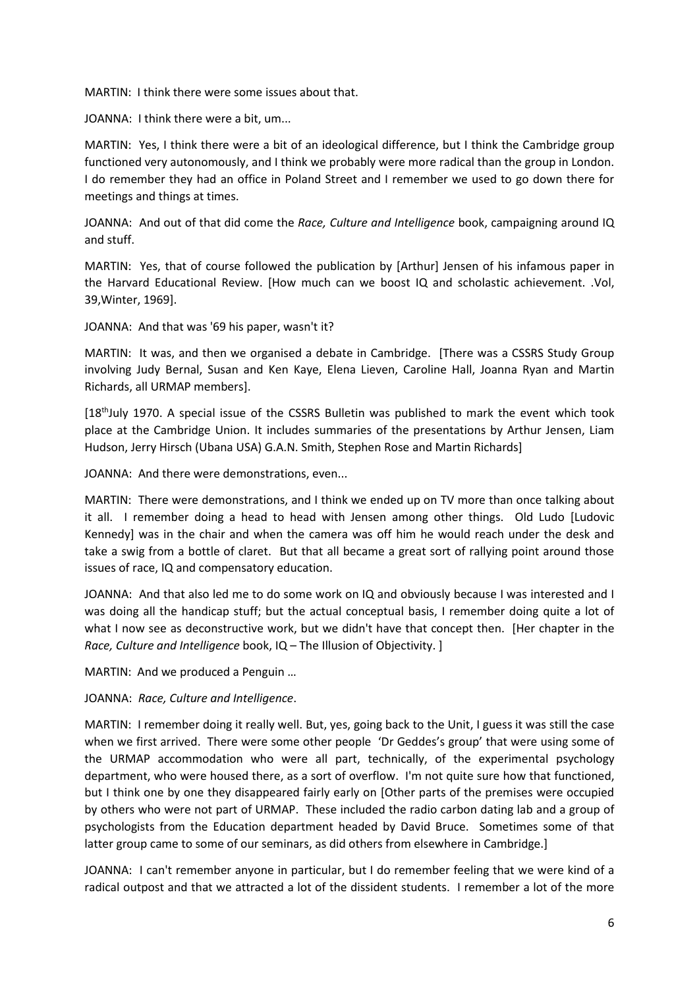MARTIN: I think there were some issues about that.

JOANNA: I think there were a bit, um...

MARTIN: Yes, I think there were a bit of an ideological difference, but I think the Cambridge group functioned very autonomously, and I think we probably were more radical than the group in London. I do remember they had an office in Poland Street and I remember we used to go down there for meetings and things at times.

JOANNA: And out of that did come the *Race, Culture and Intelligence* book, campaigning around IQ and stuff.

MARTIN: Yes, that of course followed the publication by [Arthur] Jensen of his infamous paper in the Harvard Educational Review. [How much can we boost IQ and scholastic achievement. .Vol, 39,Winter, 1969].

JOANNA: And that was '69 his paper, wasn't it?

MARTIN: It was, and then we organised a debate in Cambridge. [There was a CSSRS Study Group involving Judy Bernal, Susan and Ken Kaye, Elena Lieven, Caroline Hall, Joanna Ryan and Martin Richards, all URMAP members].

 $[18<sup>th</sup>]$ uly 1970. A special issue of the CSSRS Bulletin was published to mark the event which took place at the Cambridge Union. It includes summaries of the presentations by Arthur Jensen, Liam Hudson, Jerry Hirsch (Ubana USA) G.A.N. Smith, Stephen Rose and Martin Richards]

JOANNA: And there were demonstrations, even...

MARTIN: There were demonstrations, and I think we ended up on TV more than once talking about it all. I remember doing a head to head with Jensen among other things. Old Ludo [Ludovic Kennedy] was in the chair and when the camera was off him he would reach under the desk and take a swig from a bottle of claret. But that all became a great sort of rallying point around those issues of race, IQ and compensatory education.

JOANNA: And that also led me to do some work on IQ and obviously because I was interested and I was doing all the handicap stuff; but the actual conceptual basis, I remember doing quite a lot of what I now see as deconstructive work, but we didn't have that concept then. [Her chapter in the *Race, Culture and Intelligence* book, IQ – The Illusion of Objectivity. ]

MARTIN: And we produced a Penguin …

JOANNA: *Race, Culture and Intelligence*.

MARTIN: I remember doing it really well. But, yes, going back to the Unit, I guess it was still the case when we first arrived. There were some other people 'Dr Geddes's group' that were using some of the URMAP accommodation who were all part, technically, of the experimental psychology department, who were housed there, as a sort of overflow. I'm not quite sure how that functioned, but I think one by one they disappeared fairly early on [Other parts of the premises were occupied by others who were not part of URMAP. These included the radio carbon dating lab and a group of psychologists from the Education department headed by David Bruce. Sometimes some of that latter group came to some of our seminars, as did others from elsewhere in Cambridge.]

JOANNA: I can't remember anyone in particular, but I do remember feeling that we were kind of a radical outpost and that we attracted a lot of the dissident students. I remember a lot of the more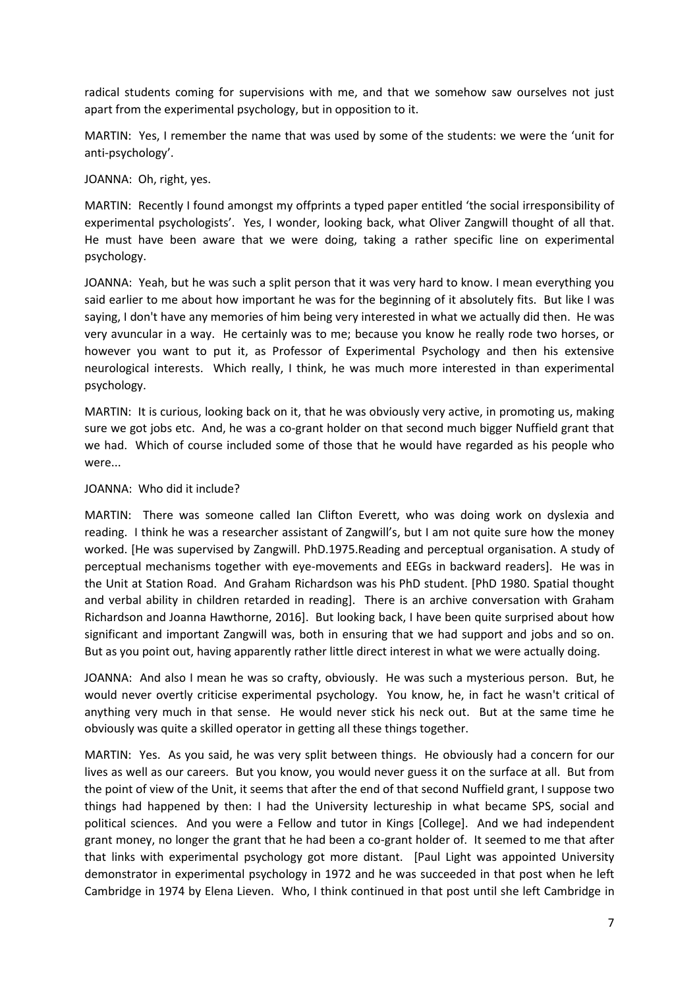radical students coming for supervisions with me, and that we somehow saw ourselves not just apart from the experimental psychology, but in opposition to it.

MARTIN: Yes, I remember the name that was used by some of the students: we were the 'unit for anti-psychology'.

JOANNA: Oh, right, yes.

MARTIN: Recently I found amongst my offprints a typed paper entitled 'the social irresponsibility of experimental psychologists'. Yes, I wonder, looking back, what Oliver Zangwill thought of all that. He must have been aware that we were doing, taking a rather specific line on experimental psychology.

JOANNA: Yeah, but he was such a split person that it was very hard to know. I mean everything you said earlier to me about how important he was for the beginning of it absolutely fits. But like I was saying, I don't have any memories of him being very interested in what we actually did then. He was very avuncular in a way. He certainly was to me; because you know he really rode two horses, or however you want to put it, as Professor of Experimental Psychology and then his extensive neurological interests. Which really, I think, he was much more interested in than experimental psychology.

MARTIN: It is curious, looking back on it, that he was obviously very active, in promoting us, making sure we got jobs etc. And, he was a co-grant holder on that second much bigger Nuffield grant that we had. Which of course included some of those that he would have regarded as his people who were...

#### JOANNA: Who did it include?

MARTIN: There was someone called Ian Clifton Everett, who was doing work on dyslexia and reading. I think he was a researcher assistant of Zangwill's, but I am not quite sure how the money worked. [He was supervised by Zangwill. PhD.1975.Reading and perceptual organisation. A study of perceptual mechanisms together with eye-movements and EEGs in backward readers]. He was in the Unit at Station Road. And Graham Richardson was his PhD student. [PhD 1980. Spatial thought and verbal ability in children retarded in reading]. There is an archive conversation with Graham Richardson and Joanna Hawthorne, 2016]. But looking back, I have been quite surprised about how significant and important Zangwill was, both in ensuring that we had support and jobs and so on. But as you point out, having apparently rather little direct interest in what we were actually doing.

JOANNA: And also I mean he was so crafty, obviously. He was such a mysterious person. But, he would never overtly criticise experimental psychology. You know, he, in fact he wasn't critical of anything very much in that sense. He would never stick his neck out. But at the same time he obviously was quite a skilled operator in getting all these things together.

MARTIN: Yes. As you said, he was very split between things. He obviously had a concern for our lives as well as our careers. But you know, you would never guess it on the surface at all. But from the point of view of the Unit, it seems that after the end of that second Nuffield grant, I suppose two things had happened by then: I had the University lectureship in what became SPS, social and political sciences. And you were a Fellow and tutor in Kings [College]. And we had independent grant money, no longer the grant that he had been a co-grant holder of. It seemed to me that after that links with experimental psychology got more distant. [Paul Light was appointed University demonstrator in experimental psychology in 1972 and he was succeeded in that post when he left Cambridge in 1974 by Elena Lieven. Who, I think continued in that post until she left Cambridge in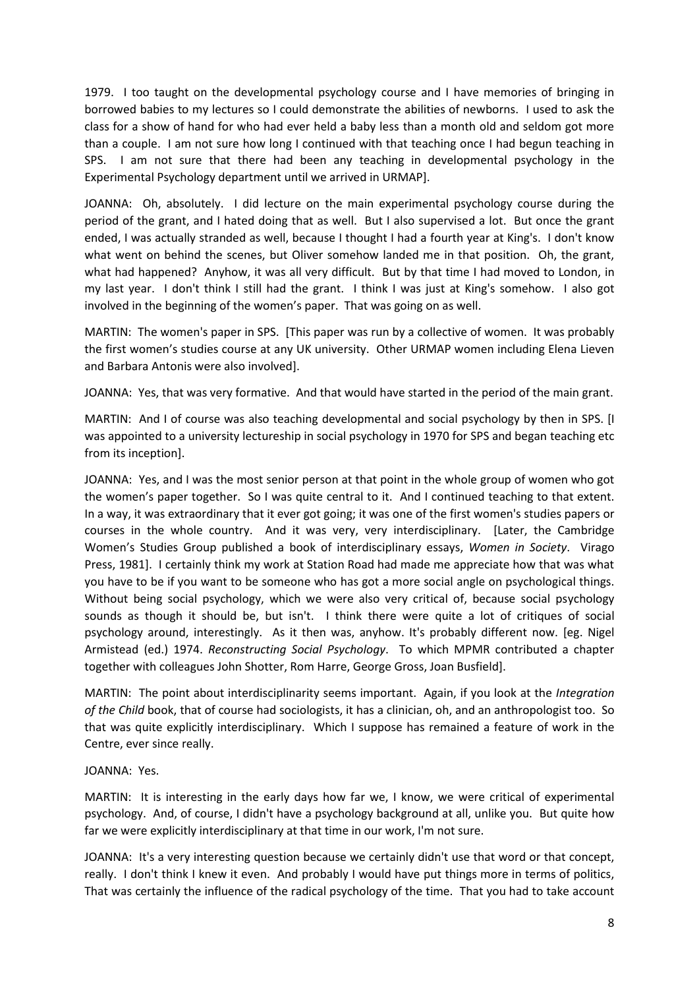1979. I too taught on the developmental psychology course and I have memories of bringing in borrowed babies to my lectures so I could demonstrate the abilities of newborns. I used to ask the class for a show of hand for who had ever held a baby less than a month old and seldom got more than a couple. I am not sure how long I continued with that teaching once I had begun teaching in SPS. I am not sure that there had been any teaching in developmental psychology in the Experimental Psychology department until we arrived in URMAP].

JOANNA: Oh, absolutely. I did lecture on the main experimental psychology course during the period of the grant, and I hated doing that as well. But I also supervised a lot. But once the grant ended, I was actually stranded as well, because I thought I had a fourth year at King's. I don't know what went on behind the scenes, but Oliver somehow landed me in that position. Oh, the grant, what had happened? Anyhow, it was all very difficult. But by that time I had moved to London, in my last year. I don't think I still had the grant. I think I was just at King's somehow. I also got involved in the beginning of the women's paper. That was going on as well.

MARTIN: The women's paper in SPS. [This paper was run by a collective of women. It was probably the first women's studies course at any UK university. Other URMAP women including Elena Lieven and Barbara Antonis were also involved].

JOANNA: Yes, that was very formative. And that would have started in the period of the main grant.

MARTIN: And I of course was also teaching developmental and social psychology by then in SPS. [I was appointed to a university lectureship in social psychology in 1970 for SPS and began teaching etc from its inception].

JOANNA: Yes, and I was the most senior person at that point in the whole group of women who got the women's paper together. So I was quite central to it. And I continued teaching to that extent. In a way, it was extraordinary that it ever got going; it was one of the first women's studies papers or courses in the whole country. And it was very, very interdisciplinary. [Later, the Cambridge Women's Studies Group published a book of interdisciplinary essays, *Women in Society*. Virago Press, 1981]. I certainly think my work at Station Road had made me appreciate how that was what you have to be if you want to be someone who has got a more social angle on psychological things. Without being social psychology, which we were also very critical of, because social psychology sounds as though it should be, but isn't. I think there were quite a lot of critiques of social psychology around, interestingly. As it then was, anyhow. It's probably different now. [eg. Nigel Armistead (ed.) 1974. *Reconstructing Social Psychology*. To which MPMR contributed a chapter together with colleagues John Shotter, Rom Harre, George Gross, Joan Busfield].

MARTIN: The point about interdisciplinarity seems important. Again, if you look at the *Integration of the Child* book, that of course had sociologists, it has a clinician, oh, and an anthropologist too. So that was quite explicitly interdisciplinary. Which I suppose has remained a feature of work in the Centre, ever since really.

# JOANNA: Yes.

MARTIN: It is interesting in the early days how far we, I know, we were critical of experimental psychology. And, of course, I didn't have a psychology background at all, unlike you. But quite how far we were explicitly interdisciplinary at that time in our work, I'm not sure.

JOANNA: It's a very interesting question because we certainly didn't use that word or that concept, really. I don't think I knew it even. And probably I would have put things more in terms of politics, That was certainly the influence of the radical psychology of the time. That you had to take account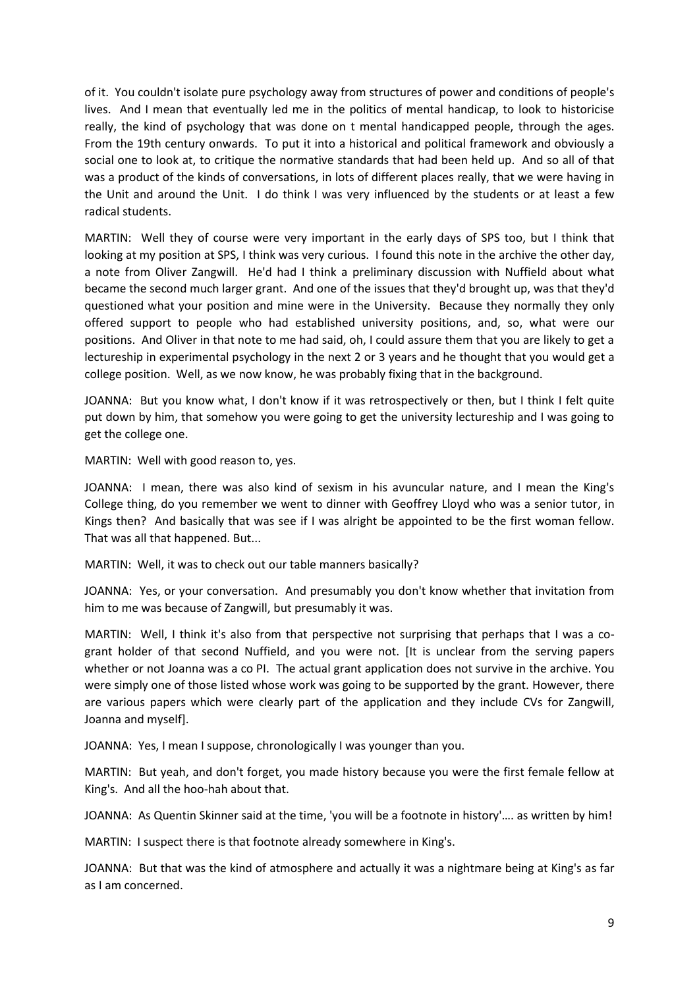of it. You couldn't isolate pure psychology away from structures of power and conditions of people's lives. And I mean that eventually led me in the politics of mental handicap, to look to historicise really, the kind of psychology that was done on t mental handicapped people, through the ages. From the 19th century onwards. To put it into a historical and political framework and obviously a social one to look at, to critique the normative standards that had been held up. And so all of that was a product of the kinds of conversations, in lots of different places really, that we were having in the Unit and around the Unit. I do think I was very influenced by the students or at least a few radical students.

MARTIN: Well they of course were very important in the early days of SPS too, but I think that looking at my position at SPS, I think was very curious. I found this note in the archive the other day, a note from Oliver Zangwill. He'd had I think a preliminary discussion with Nuffield about what became the second much larger grant. And one of the issues that they'd brought up, was that they'd questioned what your position and mine were in the University. Because they normally they only offered support to people who had established university positions, and, so, what were our positions. And Oliver in that note to me had said, oh, I could assure them that you are likely to get a lectureship in experimental psychology in the next 2 or 3 years and he thought that you would get a college position. Well, as we now know, he was probably fixing that in the background.

JOANNA: But you know what, I don't know if it was retrospectively or then, but I think I felt quite put down by him, that somehow you were going to get the university lectureship and I was going to get the college one.

MARTIN: Well with good reason to, yes.

JOANNA: I mean, there was also kind of sexism in his avuncular nature, and I mean the King's College thing, do you remember we went to dinner with Geoffrey Lloyd who was a senior tutor, in Kings then? And basically that was see if I was alright be appointed to be the first woman fellow. That was all that happened. But...

MARTIN: Well, it was to check out our table manners basically?

JOANNA: Yes, or your conversation. And presumably you don't know whether that invitation from him to me was because of Zangwill, but presumably it was.

MARTIN: Well, I think it's also from that perspective not surprising that perhaps that I was a cogrant holder of that second Nuffield, and you were not. [It is unclear from the serving papers whether or not Joanna was a co PI. The actual grant application does not survive in the archive. You were simply one of those listed whose work was going to be supported by the grant. However, there are various papers which were clearly part of the application and they include CVs for Zangwill, Joanna and myself].

JOANNA: Yes, I mean I suppose, chronologically I was younger than you.

MARTIN: But yeah, and don't forget, you made history because you were the first female fellow at King's. And all the hoo-hah about that.

JOANNA: As Quentin Skinner said at the time, 'you will be a footnote in history'…. as written by him!

MARTIN: I suspect there is that footnote already somewhere in King's.

JOANNA: But that was the kind of atmosphere and actually it was a nightmare being at King's as far as I am concerned.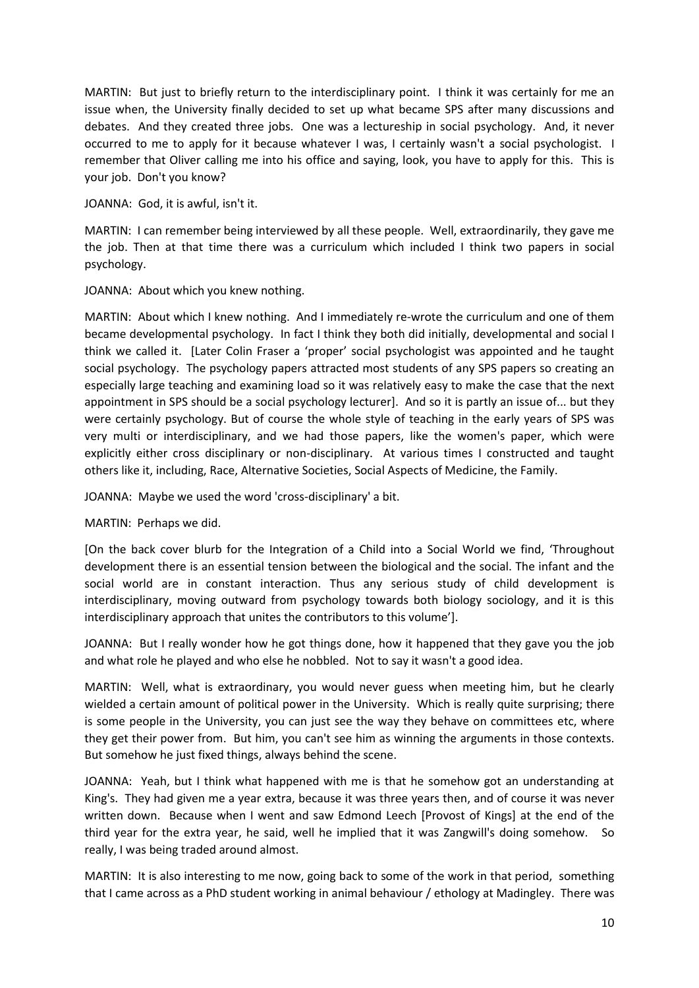MARTIN: But just to briefly return to the interdisciplinary point. I think it was certainly for me an issue when, the University finally decided to set up what became SPS after many discussions and debates. And they created three jobs. One was a lectureship in social psychology. And, it never occurred to me to apply for it because whatever I was, I certainly wasn't a social psychologist. I remember that Oliver calling me into his office and saying, look, you have to apply for this. This is your job. Don't you know?

JOANNA: God, it is awful, isn't it.

MARTIN: I can remember being interviewed by all these people. Well, extraordinarily, they gave me the job. Then at that time there was a curriculum which included I think two papers in social psychology.

JOANNA: About which you knew nothing.

MARTIN: About which I knew nothing. And I immediately re-wrote the curriculum and one of them became developmental psychology. In fact I think they both did initially, developmental and social I think we called it. [Later Colin Fraser a 'proper' social psychologist was appointed and he taught social psychology. The psychology papers attracted most students of any SPS papers so creating an especially large teaching and examining load so it was relatively easy to make the case that the next appointment in SPS should be a social psychology lecturer]. And so it is partly an issue of... but they were certainly psychology. But of course the whole style of teaching in the early years of SPS was very multi or interdisciplinary, and we had those papers, like the women's paper, which were explicitly either cross disciplinary or non-disciplinary. At various times I constructed and taught others like it, including, Race, Alternative Societies, Social Aspects of Medicine, the Family.

JOANNA: Maybe we used the word 'cross-disciplinary' a bit.

MARTIN: Perhaps we did.

[On the back cover blurb for the Integration of a Child into a Social World we find, 'Throughout development there is an essential tension between the biological and the social. The infant and the social world are in constant interaction. Thus any serious study of child development is interdisciplinary, moving outward from psychology towards both biology sociology, and it is this interdisciplinary approach that unites the contributors to this volume'].

JOANNA: But I really wonder how he got things done, how it happened that they gave you the job and what role he played and who else he nobbled. Not to say it wasn't a good idea.

MARTIN: Well, what is extraordinary, you would never guess when meeting him, but he clearly wielded a certain amount of political power in the University. Which is really quite surprising; there is some people in the University, you can just see the way they behave on committees etc, where they get their power from. But him, you can't see him as winning the arguments in those contexts. But somehow he just fixed things, always behind the scene.

JOANNA: Yeah, but I think what happened with me is that he somehow got an understanding at King's. They had given me a year extra, because it was three years then, and of course it was never written down. Because when I went and saw Edmond Leech [Provost of Kings] at the end of the third year for the extra year, he said, well he implied that it was Zangwill's doing somehow. really, I was being traded around almost.

MARTIN: It is also interesting to me now, going back to some of the work in that period, something that I came across as a PhD student working in animal behaviour / ethology at Madingley. There was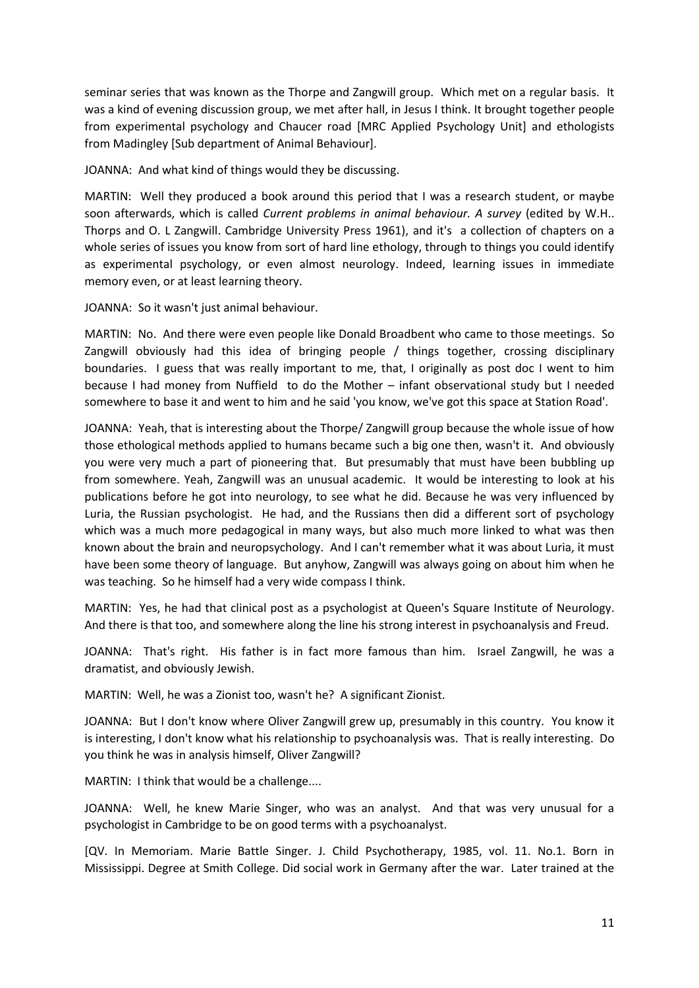seminar series that was known as the Thorpe and Zangwill group. Which met on a regular basis. It was a kind of evening discussion group, we met after hall, in Jesus I think. It brought together people from experimental psychology and Chaucer road [MRC Applied Psychology Unit] and ethologists from Madingley [Sub department of Animal Behaviour].

JOANNA: And what kind of things would they be discussing.

MARTIN: Well they produced a book around this period that I was a research student, or maybe soon afterwards, which is called *Current problems in animal behaviour. A survey* (edited by W.H.. Thorps and O. L Zangwill. Cambridge University Press 1961), and it's a collection of chapters on a whole series of issues you know from sort of hard line ethology, through to things you could identify as experimental psychology, or even almost neurology. Indeed, learning issues in immediate memory even, or at least learning theory.

JOANNA: So it wasn't just animal behaviour.

MARTIN: No. And there were even people like Donald Broadbent who came to those meetings. So Zangwill obviously had this idea of bringing people / things together, crossing disciplinary boundaries. I guess that was really important to me, that, I originally as post doc I went to him because I had money from Nuffield to do the Mother – infant observational study but I needed somewhere to base it and went to him and he said 'you know, we've got this space at Station Road'.

JOANNA: Yeah, that is interesting about the Thorpe/ Zangwill group because the whole issue of how those ethological methods applied to humans became such a big one then, wasn't it. And obviously you were very much a part of pioneering that. But presumably that must have been bubbling up from somewhere. Yeah, Zangwill was an unusual academic. It would be interesting to look at his publications before he got into neurology, to see what he did. Because he was very influenced by Luria, the Russian psychologist. He had, and the Russians then did a different sort of psychology which was a much more pedagogical in many ways, but also much more linked to what was then known about the brain and neuropsychology. And I can't remember what it was about Luria, it must have been some theory of language. But anyhow, Zangwill was always going on about him when he was teaching. So he himself had a very wide compass I think.

MARTIN: Yes, he had that clinical post as a psychologist at Queen's Square Institute of Neurology. And there is that too, and somewhere along the line his strong interest in psychoanalysis and Freud.

JOANNA: That's right. His father is in fact more famous than him. Israel Zangwill, he was a dramatist, and obviously Jewish.

MARTIN: Well, he was a Zionist too, wasn't he? A significant Zionist.

JOANNA: But I don't know where Oliver Zangwill grew up, presumably in this country. You know it is interesting, I don't know what his relationship to psychoanalysis was. That is really interesting. Do you think he was in analysis himself, Oliver Zangwill?

MARTIN: I think that would be a challenge....

JOANNA: Well, he knew Marie Singer, who was an analyst. And that was very unusual for a psychologist in Cambridge to be on good terms with a psychoanalyst.

[QV. In Memoriam. Marie Battle Singer. J. Child Psychotherapy, 1985, vol. 11. No.1. Born in Mississippi. Degree at Smith College. Did social work in Germany after the war. Later trained at the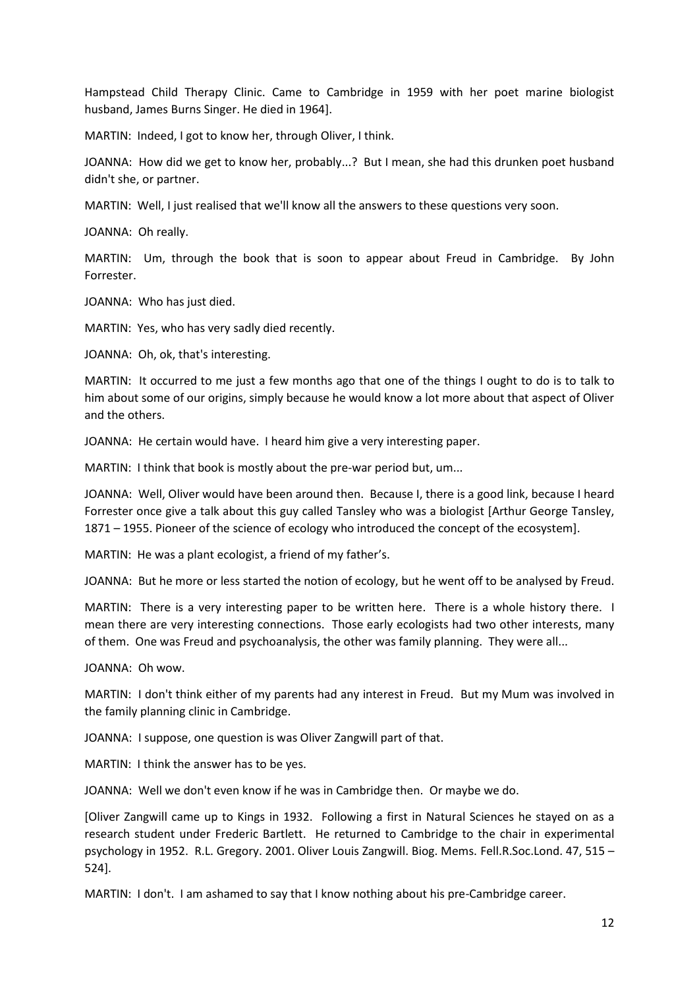Hampstead Child Therapy Clinic. Came to Cambridge in 1959 with her poet marine biologist husband, James Burns Singer. He died in 1964].

MARTIN: Indeed, I got to know her, through Oliver, I think.

JOANNA: How did we get to know her, probably...? But I mean, she had this drunken poet husband didn't she, or partner.

MARTIN: Well, I just realised that we'll know all the answers to these questions very soon.

JOANNA: Oh really.

MARTIN: Um, through the book that is soon to appear about Freud in Cambridge. By John Forrester.

JOANNA: Who has just died.

MARTIN: Yes, who has very sadly died recently.

JOANNA: Oh, ok, that's interesting.

MARTIN: It occurred to me just a few months ago that one of the things I ought to do is to talk to him about some of our origins, simply because he would know a lot more about that aspect of Oliver and the others.

JOANNA: He certain would have. I heard him give a very interesting paper.

MARTIN: I think that book is mostly about the pre-war period but, um...

JOANNA: Well, Oliver would have been around then. Because I, there is a good link, because I heard Forrester once give a talk about this guy called Tansley who was a biologist [Arthur George Tansley, 1871 – 1955. Pioneer of the science of ecology who introduced the concept of the ecosystem].

MARTIN: He was a plant ecologist, a friend of my father's.

JOANNA: But he more or less started the notion of ecology, but he went off to be analysed by Freud.

MARTIN: There is a very interesting paper to be written here. There is a whole history there. I mean there are very interesting connections. Those early ecologists had two other interests, many of them. One was Freud and psychoanalysis, the other was family planning. They were all...

JOANNA: Oh wow.

MARTIN: I don't think either of my parents had any interest in Freud. But my Mum was involved in the family planning clinic in Cambridge.

JOANNA: I suppose, one question is was Oliver Zangwill part of that.

MARTIN: I think the answer has to be yes.

JOANNA: Well we don't even know if he was in Cambridge then. Or maybe we do.

[Oliver Zangwill came up to Kings in 1932. Following a first in Natural Sciences he stayed on as a research student under Frederic Bartlett. He returned to Cambridge to the chair in experimental psychology in 1952. R.L. Gregory. 2001. Oliver Louis Zangwill. Biog. Mems. Fell.R.Soc.Lond. 47, 515 – 524].

MARTIN: I don't. I am ashamed to say that I know nothing about his pre-Cambridge career.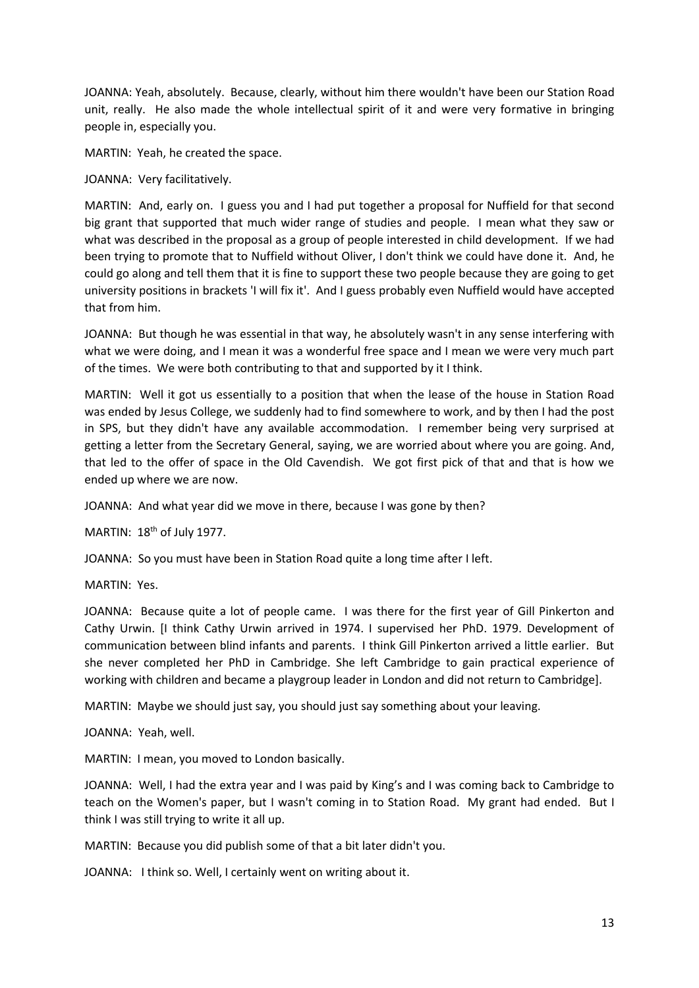JOANNA: Yeah, absolutely. Because, clearly, without him there wouldn't have been our Station Road unit, really. He also made the whole intellectual spirit of it and were very formative in bringing people in, especially you.

MARTIN: Yeah, he created the space.

JOANNA: Very facilitatively.

MARTIN: And, early on. I guess you and I had put together a proposal for Nuffield for that second big grant that supported that much wider range of studies and people. I mean what they saw or what was described in the proposal as a group of people interested in child development. If we had been trying to promote that to Nuffield without Oliver, I don't think we could have done it. And, he could go along and tell them that it is fine to support these two people because they are going to get university positions in brackets 'I will fix it'. And I guess probably even Nuffield would have accepted that from him.

JOANNA: But though he was essential in that way, he absolutely wasn't in any sense interfering with what we were doing, and I mean it was a wonderful free space and I mean we were very much part of the times. We were both contributing to that and supported by it I think.

MARTIN: Well it got us essentially to a position that when the lease of the house in Station Road was ended by Jesus College, we suddenly had to find somewhere to work, and by then I had the post in SPS, but they didn't have any available accommodation. I remember being very surprised at getting a letter from the Secretary General, saying, we are worried about where you are going. And, that led to the offer of space in the Old Cavendish. We got first pick of that and that is how we ended up where we are now.

JOANNA: And what year did we move in there, because I was gone by then?

MARTIN:  $18<sup>th</sup>$  of July 1977.

JOANNA: So you must have been in Station Road quite a long time after I left.

MARTIN: Yes.

JOANNA: Because quite a lot of people came. I was there for the first year of Gill Pinkerton and Cathy Urwin. [I think Cathy Urwin arrived in 1974. I supervised her PhD. 1979. Development of communication between blind infants and parents. I think Gill Pinkerton arrived a little earlier. But she never completed her PhD in Cambridge. She left Cambridge to gain practical experience of working with children and became a playgroup leader in London and did not return to Cambridge].

MARTIN: Maybe we should just say, you should just say something about your leaving.

JOANNA: Yeah, well.

MARTIN: I mean, you moved to London basically.

JOANNA: Well, I had the extra year and I was paid by King's and I was coming back to Cambridge to teach on the Women's paper, but I wasn't coming in to Station Road. My grant had ended. But I think I was still trying to write it all up.

MARTIN: Because you did publish some of that a bit later didn't you.

JOANNA: I think so. Well, I certainly went on writing about it.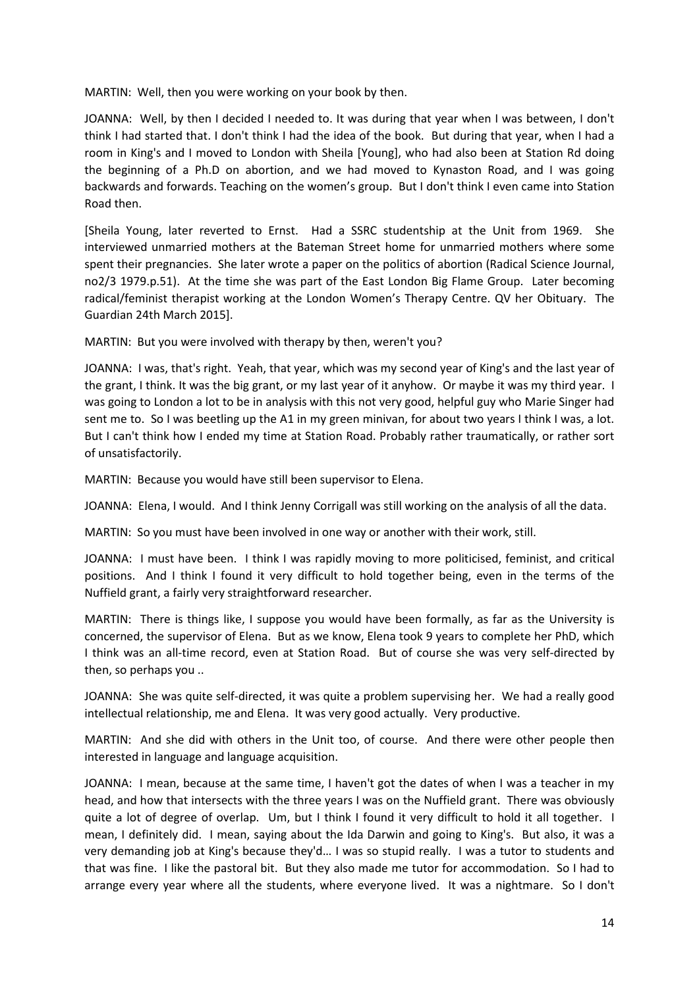MARTIN: Well, then you were working on your book by then.

JOANNA: Well, by then I decided I needed to. It was during that year when I was between, I don't think I had started that. I don't think I had the idea of the book. But during that year, when I had a room in King's and I moved to London with Sheila [Young], who had also been at Station Rd doing the beginning of a Ph.D on abortion, and we had moved to Kynaston Road, and I was going backwards and forwards. Teaching on the women's group. But I don't think I even came into Station Road then.

[Sheila Young, later reverted to Ernst. Had a SSRC studentship at the Unit from 1969. She interviewed unmarried mothers at the Bateman Street home for unmarried mothers where some spent their pregnancies. She later wrote a paper on the politics of abortion (Radical Science Journal, no2/3 1979.p.51). At the time she was part of the East London Big Flame Group. Later becoming radical/feminist therapist working at the London Women's Therapy Centre. QV her Obituary. The Guardian 24th March 2015].

MARTIN: But you were involved with therapy by then, weren't you?

JOANNA: I was, that's right. Yeah, that year, which was my second year of King's and the last year of the grant, I think. It was the big grant, or my last year of it anyhow. Or maybe it was my third year. I was going to London a lot to be in analysis with this not very good, helpful guy who Marie Singer had sent me to. So I was beetling up the A1 in my green minivan, for about two years I think I was, a lot. But I can't think how I ended my time at Station Road. Probably rather traumatically, or rather sort of unsatisfactorily.

MARTIN: Because you would have still been supervisor to Elena.

JOANNA: Elena, I would. And I think Jenny Corrigall was still working on the analysis of all the data.

MARTIN: So you must have been involved in one way or another with their work, still.

JOANNA: I must have been. I think I was rapidly moving to more politicised, feminist, and critical positions. And I think I found it very difficult to hold together being, even in the terms of the Nuffield grant, a fairly very straightforward researcher.

MARTIN: There is things like, I suppose you would have been formally, as far as the University is concerned, the supervisor of Elena. But as we know, Elena took 9 years to complete her PhD, which I think was an all-time record, even at Station Road. But of course she was very self-directed by then, so perhaps you ..

JOANNA: She was quite self-directed, it was quite a problem supervising her. We had a really good intellectual relationship, me and Elena. It was very good actually. Very productive.

MARTIN: And she did with others in the Unit too, of course. And there were other people then interested in language and language acquisition.

JOANNA: I mean, because at the same time, I haven't got the dates of when I was a teacher in my head, and how that intersects with the three years I was on the Nuffield grant. There was obviously quite a lot of degree of overlap. Um, but I think I found it very difficult to hold it all together. I mean, I definitely did. I mean, saying about the Ida Darwin and going to King's. But also, it was a very demanding job at King's because they'd… I was so stupid really. I was a tutor to students and that was fine. I like the pastoral bit. But they also made me tutor for accommodation. So I had to arrange every year where all the students, where everyone lived. It was a nightmare. So I don't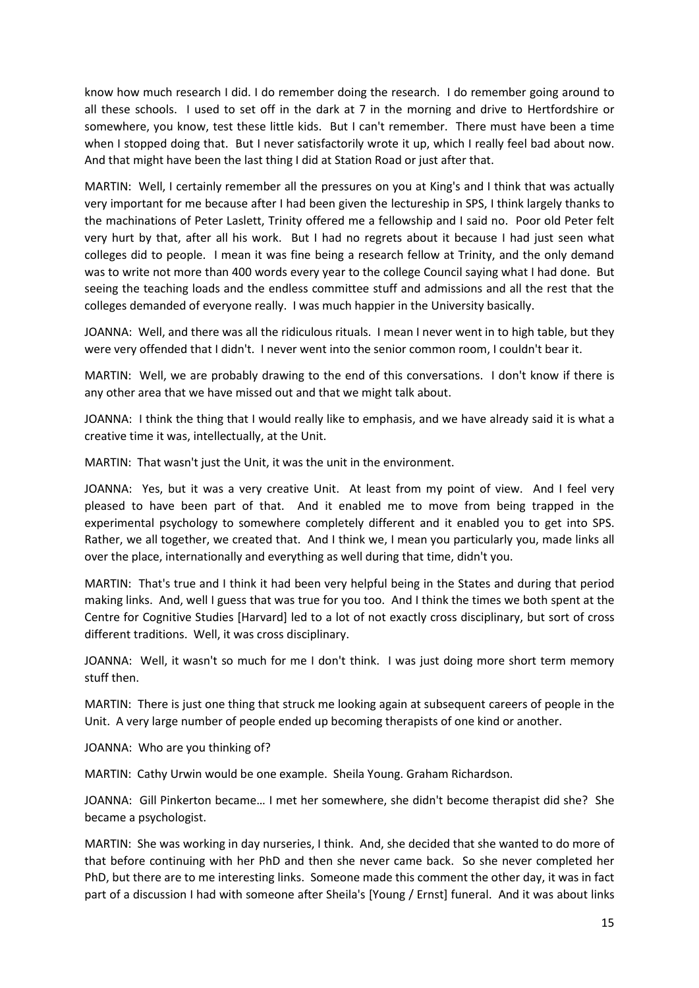know how much research I did. I do remember doing the research. I do remember going around to all these schools. I used to set off in the dark at 7 in the morning and drive to Hertfordshire or somewhere, you know, test these little kids. But I can't remember. There must have been a time when I stopped doing that. But I never satisfactorily wrote it up, which I really feel bad about now. And that might have been the last thing I did at Station Road or just after that.

MARTIN: Well, I certainly remember all the pressures on you at King's and I think that was actually very important for me because after I had been given the lectureship in SPS, I think largely thanks to the machinations of Peter Laslett, Trinity offered me a fellowship and I said no. Poor old Peter felt very hurt by that, after all his work. But I had no regrets about it because I had just seen what colleges did to people. I mean it was fine being a research fellow at Trinity, and the only demand was to write not more than 400 words every year to the college Council saying what I had done. But seeing the teaching loads and the endless committee stuff and admissions and all the rest that the colleges demanded of everyone really. I was much happier in the University basically.

JOANNA: Well, and there was all the ridiculous rituals. I mean I never went in to high table, but they were very offended that I didn't. I never went into the senior common room, I couldn't bear it.

MARTIN: Well, we are probably drawing to the end of this conversations. I don't know if there is any other area that we have missed out and that we might talk about.

JOANNA: I think the thing that I would really like to emphasis, and we have already said it is what a creative time it was, intellectually, at the Unit.

MARTIN: That wasn't just the Unit, it was the unit in the environment.

JOANNA: Yes, but it was a very creative Unit. At least from my point of view. And I feel very pleased to have been part of that. And it enabled me to move from being trapped in the experimental psychology to somewhere completely different and it enabled you to get into SPS. Rather, we all together, we created that. And I think we, I mean you particularly you, made links all over the place, internationally and everything as well during that time, didn't you.

MARTIN: That's true and I think it had been very helpful being in the States and during that period making links. And, well I guess that was true for you too. And I think the times we both spent at the Centre for Cognitive Studies [Harvard] led to a lot of not exactly cross disciplinary, but sort of cross different traditions. Well, it was cross disciplinary.

JOANNA: Well, it wasn't so much for me I don't think. I was just doing more short term memory stuff then.

MARTIN: There is just one thing that struck me looking again at subsequent careers of people in the Unit. A very large number of people ended up becoming therapists of one kind or another.

JOANNA: Who are you thinking of?

MARTIN: Cathy Urwin would be one example. Sheila Young. Graham Richardson.

JOANNA: Gill Pinkerton became… I met her somewhere, she didn't become therapist did she? She became a psychologist.

MARTIN: She was working in day nurseries, I think. And, she decided that she wanted to do more of that before continuing with her PhD and then she never came back. So she never completed her PhD, but there are to me interesting links. Someone made this comment the other day, it was in fact part of a discussion I had with someone after Sheila's [Young / Ernst] funeral. And it was about links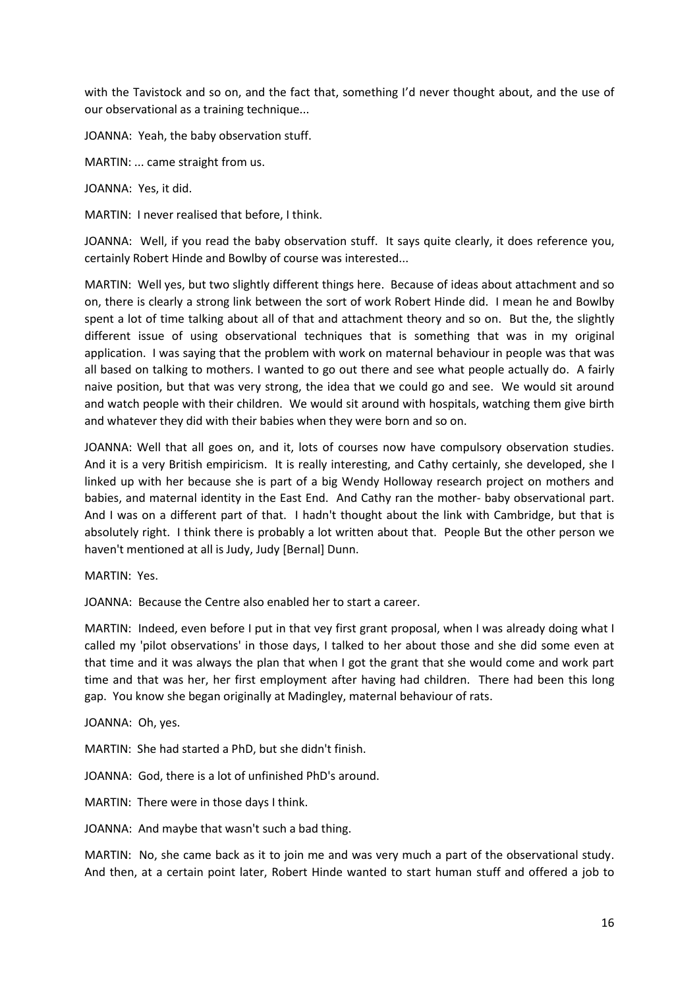with the Tavistock and so on, and the fact that, something I'd never thought about, and the use of our observational as a training technique...

JOANNA: Yeah, the baby observation stuff.

MARTIN: ... came straight from us.

JOANNA: Yes, it did.

MARTIN: I never realised that before, I think.

JOANNA: Well, if you read the baby observation stuff. It says quite clearly, it does reference you, certainly Robert Hinde and Bowlby of course was interested...

MARTIN: Well yes, but two slightly different things here. Because of ideas about attachment and so on, there is clearly a strong link between the sort of work Robert Hinde did. I mean he and Bowlby spent a lot of time talking about all of that and attachment theory and so on. But the, the slightly different issue of using observational techniques that is something that was in my original application. I was saying that the problem with work on maternal behaviour in people was that was all based on talking to mothers. I wanted to go out there and see what people actually do. A fairly naive position, but that was very strong, the idea that we could go and see. We would sit around and watch people with their children. We would sit around with hospitals, watching them give birth and whatever they did with their babies when they were born and so on.

JOANNA: Well that all goes on, and it, lots of courses now have compulsory observation studies. And it is a very British empiricism. It is really interesting, and Cathy certainly, she developed, she I linked up with her because she is part of a big Wendy Holloway research project on mothers and babies, and maternal identity in the East End. And Cathy ran the mother- baby observational part. And I was on a different part of that. I hadn't thought about the link with Cambridge, but that is absolutely right. I think there is probably a lot written about that. People But the other person we haven't mentioned at all is Judy, Judy [Bernal] Dunn.

MARTIN: Yes.

JOANNA: Because the Centre also enabled her to start a career.

MARTIN: Indeed, even before I put in that vey first grant proposal, when I was already doing what I called my 'pilot observations' in those days, I talked to her about those and she did some even at that time and it was always the plan that when I got the grant that she would come and work part time and that was her, her first employment after having had children. There had been this long gap. You know she began originally at Madingley, maternal behaviour of rats.

JOANNA: Oh, yes.

MARTIN: She had started a PhD, but she didn't finish.

JOANNA: God, there is a lot of unfinished PhD's around.

MARTIN: There were in those days I think.

JOANNA: And maybe that wasn't such a bad thing.

MARTIN: No, she came back as it to join me and was very much a part of the observational study. And then, at a certain point later, Robert Hinde wanted to start human stuff and offered a job to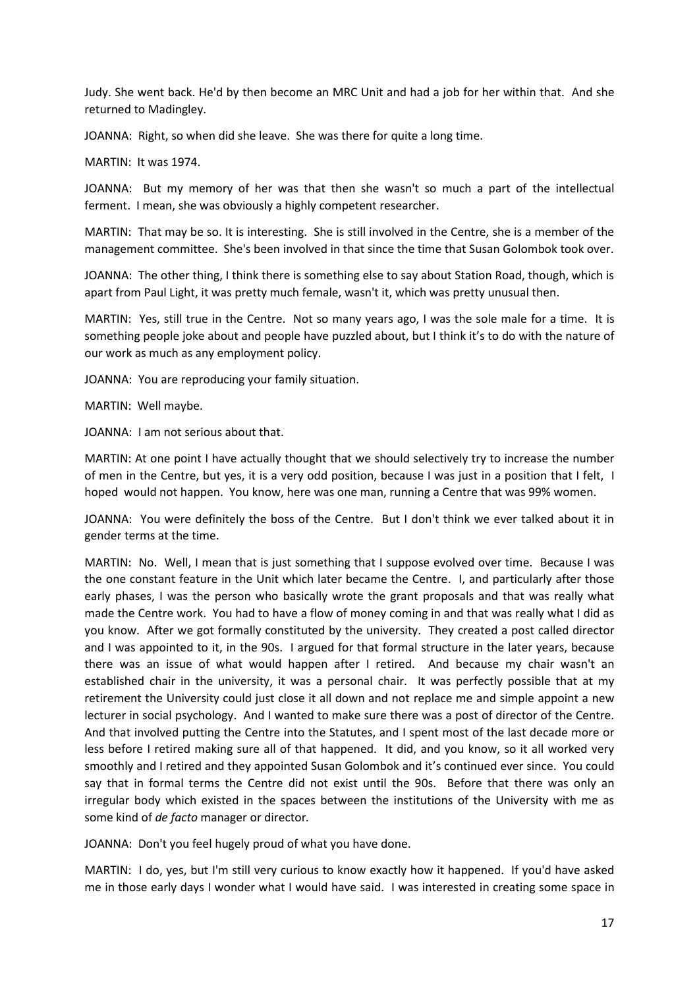Judy. She went back. He'd by then become an MRC Unit and had a job for her within that. And she returned to Madingley.

JOANNA: Right, so when did she leave. She was there for quite a long time.

MARTIN: It was 1974.

JOANNA: But my memory of her was that then she wasn't so much a part of the intellectual ferment. I mean, she was obviously a highly competent researcher.

MARTIN: That may be so. It is interesting. She is still involved in the Centre, she is a member of the management committee. She's been involved in that since the time that Susan Golombok took over.

JOANNA: The other thing, I think there is something else to say about Station Road, though, which is apart from Paul Light, it was pretty much female, wasn't it, which was pretty unusual then.

MARTIN: Yes, still true in the Centre. Not so many years ago, I was the sole male for a time. It is something people joke about and people have puzzled about, but I think it's to do with the nature of our work as much as any employment policy.

JOANNA: You are reproducing your family situation.

MARTIN: Well maybe.

JOANNA: I am not serious about that.

MARTIN: At one point I have actually thought that we should selectively try to increase the number of men in the Centre, but yes, it is a very odd position, because I was just in a position that I felt, I hoped would not happen. You know, here was one man, running a Centre that was 99% women.

JOANNA: You were definitely the boss of the Centre. But I don't think we ever talked about it in gender terms at the time.

MARTIN: No. Well, I mean that is just something that I suppose evolved over time. Because I was the one constant feature in the Unit which later became the Centre. I, and particularly after those early phases, I was the person who basically wrote the grant proposals and that was really what made the Centre work. You had to have a flow of money coming in and that was really what I did as you know. After we got formally constituted by the university. They created a post called director and I was appointed to it, in the 90s. I argued for that formal structure in the later years, because there was an issue of what would happen after I retired. And because my chair wasn't an established chair in the university, it was a personal chair. It was perfectly possible that at my retirement the University could just close it all down and not replace me and simple appoint a new lecturer in social psychology. And I wanted to make sure there was a post of director of the Centre. And that involved putting the Centre into the Statutes, and I spent most of the last decade more or less before I retired making sure all of that happened. It did, and you know, so it all worked very smoothly and I retired and they appointed Susan Golombok and it's continued ever since. You could say that in formal terms the Centre did not exist until the 90s. Before that there was only an irregular body which existed in the spaces between the institutions of the University with me as some kind of *de facto* manager or director*.*

JOANNA: Don't you feel hugely proud of what you have done.

MARTIN: I do, yes, but I'm still very curious to know exactly how it happened. If you'd have asked me in those early days I wonder what I would have said. I was interested in creating some space in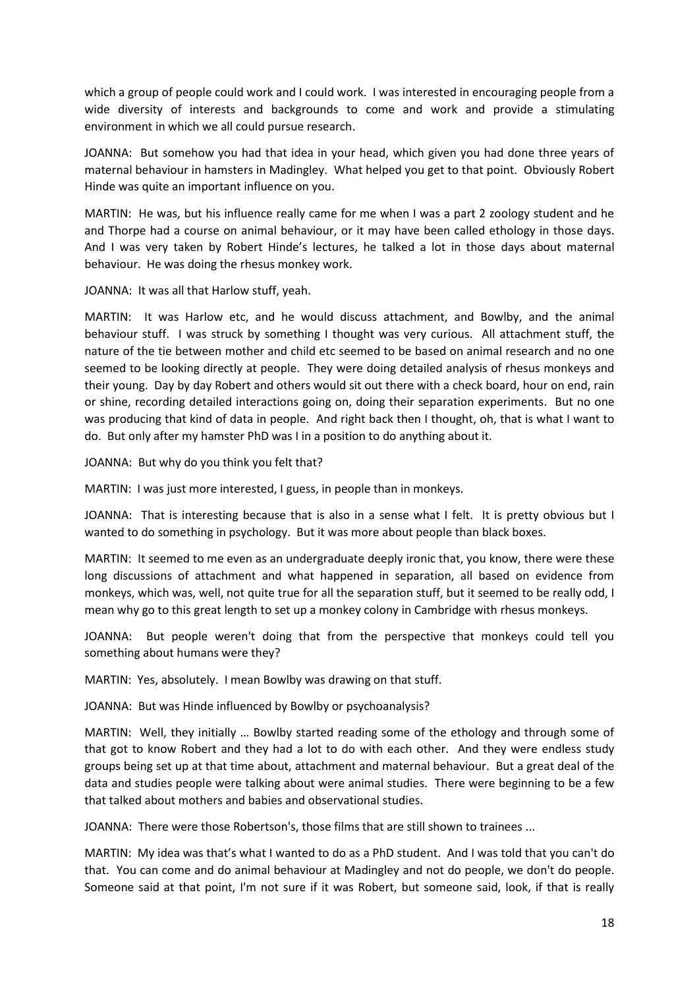which a group of people could work and I could work. I was interested in encouraging people from a wide diversity of interests and backgrounds to come and work and provide a stimulating environment in which we all could pursue research.

JOANNA: But somehow you had that idea in your head, which given you had done three years of maternal behaviour in hamsters in Madingley. What helped you get to that point. Obviously Robert Hinde was quite an important influence on you.

MARTIN: He was, but his influence really came for me when I was a part 2 zoology student and he and Thorpe had a course on animal behaviour, or it may have been called ethology in those days. And I was very taken by Robert Hinde's lectures, he talked a lot in those days about maternal behaviour. He was doing the rhesus monkey work.

JOANNA: It was all that Harlow stuff, yeah.

MARTIN: It was Harlow etc, and he would discuss attachment, and Bowlby, and the animal behaviour stuff. I was struck by something I thought was very curious. All attachment stuff, the nature of the tie between mother and child etc seemed to be based on animal research and no one seemed to be looking directly at people. They were doing detailed analysis of rhesus monkeys and their young. Day by day Robert and others would sit out there with a check board, hour on end, rain or shine, recording detailed interactions going on, doing their separation experiments. But no one was producing that kind of data in people. And right back then I thought, oh, that is what I want to do. But only after my hamster PhD was I in a position to do anything about it.

JOANNA: But why do you think you felt that?

MARTIN: I was just more interested, I guess, in people than in monkeys.

JOANNA: That is interesting because that is also in a sense what I felt. It is pretty obvious but I wanted to do something in psychology. But it was more about people than black boxes.

MARTIN: It seemed to me even as an undergraduate deeply ironic that, you know, there were these long discussions of attachment and what happened in separation, all based on evidence from monkeys, which was, well, not quite true for all the separation stuff, but it seemed to be really odd, I mean why go to this great length to set up a monkey colony in Cambridge with rhesus monkeys.

JOANNA: But people weren't doing that from the perspective that monkeys could tell you something about humans were they?

MARTIN: Yes, absolutely. I mean Bowlby was drawing on that stuff.

JOANNA: But was Hinde influenced by Bowlby or psychoanalysis?

MARTIN: Well, they initially … Bowlby started reading some of the ethology and through some of that got to know Robert and they had a lot to do with each other. And they were endless study groups being set up at that time about, attachment and maternal behaviour. But a great deal of the data and studies people were talking about were animal studies. There were beginning to be a few that talked about mothers and babies and observational studies.

JOANNA: There were those Robertson's, those films that are still shown to trainees ...

MARTIN: My idea was that's what I wanted to do as a PhD student. And I was told that you can't do that. You can come and do animal behaviour at Madingley and not do people, we don't do people. Someone said at that point, I'm not sure if it was Robert, but someone said, look, if that is really